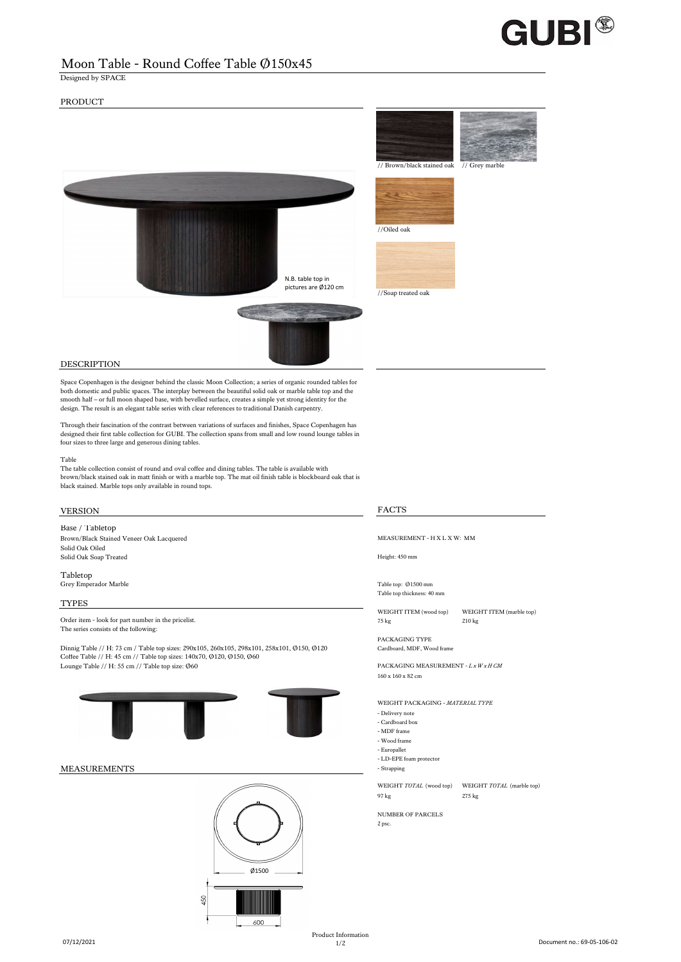

## Moon Table - Round Coffee Table Ø150x45

Designed by SPACE

## PRODUCT



## DESCRIPTION

Space Copenhagen is the designer behind the classic Moon Collection; a series of organic rounded tables for both domestic and public spaces. The interplay between the beautiful solid oak or marble table top and the smooth half – or full moon shaped base, with bevelled surface, creates a simple yet strong identity for the design. The result is an elegant table series with clear references to traditional Danish carpentry.

Through their fascination of the contrast between variations of surfaces and finishes, Space Copenhagen has designed their first table collection for GUBI. The collection spans from small and low round lounge tables in four sizes to three large and generous dining tables.

### Table

The table collection consist of round and oval coffee and dining tables. The table is available with brown/black stained oak in matt finish or with a marble top. The mat oil finish table is blockboard oak that is black stained. Marble tops only available in round tops.

## VERSION FACTS

Base / Tabletop

Solid Oak Oiled Solid Oak Soap Treated Height: 450 mm

Tabletop Grey Emperador Marble Table top: Ø1500 mm

TYPES

Order item - look for part number in the pricelist.<br>
210 kg 210 kg 210 kg 210 kg 210 kg 210 kg 210 kg 210 kg 210 kg 210 kg 210 kg 210 kg 210 kg 210 kg 210 kg 210 kg 210 kg 210 kg 210 kg 210 kg 210 kg 210 kg 210 kg 210 kg 2 The series consists of the following:

Dinnig Table // H: 73 cm / Table top sizes: 290x105, 260x105, 298x101, 258x101, Ø150, Ø120 Cardboard, MDF, Wood frame<br>Coffee Table // H: 45 cm // Table top sizes: 140x70, Ø120, Ø150, Ø60 Lounge Table // H: 55 cm // Table top size: Ø60 PACKAGING MEASUREMENT - *L x W x H CM* 





Brown/Black Stained Veneer Oak Lacquered MEASUREMENT - H X L X W: MM

Table top thickness: 40 mm

WEIGHT ITEM (wood top) WEIGHT ITEM (marble top)

PACKAGING TYPE

160 x 160 x 82 cm

WEIGHT PACKAGING - *MATERIAL TYPE*

- Delivery note
- Cardboard box - MDF frame
- 
- Wood frame
- Europallet - LD-EPE foam protector
- 

WEIGHT *TOTAL* (wood top) WEIGHT *TOTAL* (marble top) 97 kg 275 kg

NUMBER OF PARCELS

2 psc.